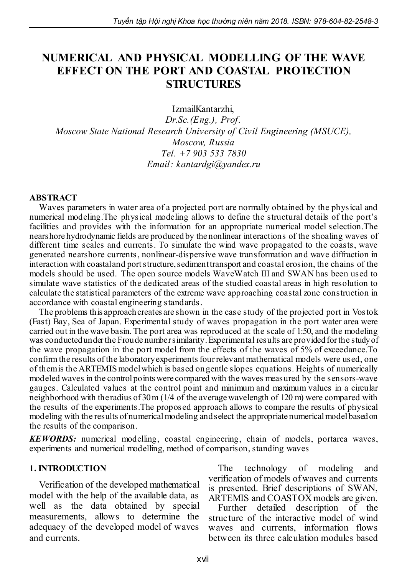# NUMERICAL AND PHYSICAL MODELLING OF THE WAVE EFFECT ON THE PORT AND COASTAL PROTECTION STRUCTURES

IzmailKantarzhi,

*Dr.Sc.(Eng.), Prof. Moscow State National Research University of Civil Engineering (MSUCE), Moscow, Russia Tel. +7 903 533 7830 Email: kantardgi@yandex.ru*

#### ABSTRACT

Waves parameters in water area of a projected port are normally obtained by the physical and numerical modeling.The physical modeling allows to define the structural details of the port's facilities and provides with the information for an appropriate numerical model selection.The nearshore hydrodynamic fields are produced by the nonlinear interactions of the shoaling waves of different time scales and currents. To simulate the wind wave propagated to the coasts, wave generated nearshore currents, nonlinear-dispersive wave transformation and wave diffraction in interaction with coastal and port structure, sediment transport and coastal erosion, the chains of the models should be used. The open source models WaveWatch III and SWAN has been used to simulate wave statistics of the dedicated areas of the studied coastal areas in high resolution to calculate the statistical parameters of the extreme wave approaching coastal zone construction in accordance with coastal engineering standards.

The problems this approach creates are shown in the case study of the projected port in Vostok (East) Bay, Sea of Japan. Experimental study of waves propagation in the port water area were carried out in the wave basin. The port area was reproduced at the scale of 1:50, and the modeling was conducted under the Froude number similarity. Experimental results are provided for the study of the wave propagation in the port model from the effects of the waves of 5% of exceedance.To confirm the results of the laboratory experiments four relevant mathematical models were used, one of them is the ARTEMIS model which is based on gentle slopes equations. Heights of numerically modeled waves in the control points were compared with the waves measured by the sensors-wave gauges. Calculated values at the control point and minimum and maximum values in a circular neighborhood with the radius of 30 m (1/4 of the average wavelength of 120 m) were compared with the results of the experiments.The proposed approach allows to compare the results of physical modeling with the results of numerical modeling and select the appropriate numerical model based on the results of the comparison.

*KEWORDS:* numerical modelling, coastal engineering, chain of models, portarea waves, experiments and numerical modelling, method of comparison, standing waves

#### 1. INTRODUCTION

Verification of the developed mathematical model with the help of the available data, as well as the data obtained by special measurements, allows to determine the adequacy of the developed model of waves and currents.

The technology of modeling and verification of models of waves and currents is presented. Brief descriptions of SWAN, ARTEMIS and COASTOX models are given.

Further detailed description of the structure of the interactive model of wind waves and currents, information flows between its three calculation modules based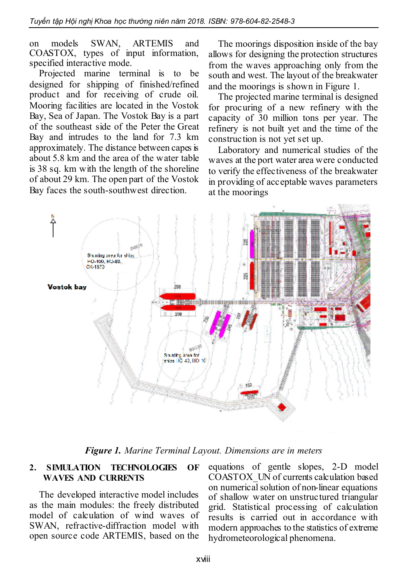on models SWAN, ARTEMIS and COASTOX, types of input information, specified interactive mode.

Projected marine terminal is to be designed for shipping of finished/refined product and for receiving of crude oil. Mooring facilities are located in the Vostok Bay, Sea of Japan. The Vostok Bay is a part of the southeast side of the Peter the Great Bay and intrudes to the land for 7.3 km approximately. The distance between capes is about 5.8 km and the area of the water table is 38 sq. km with the length of the shoreline of about 29 km. The open part of the Vostok Bay faces the south-southwest direction.

The moorings disposition inside of the bay allows for designing the protection structures from the waves approaching only from the south and west. The layout of the breakwater and the moorings is shown in Figure 1.

The projected marine terminal is designed for procuring of a new refinery with the capacity of 30 million tons per year. The refinery is not built yet and the time of the construction is not yet set up.

Laboratory and numerical studies of the waves at the port water area were conducted to verify the effectiveness of the breakwater in providing of acceptable waves parameters at the moorings



*Figure 1. Marine Terminal Layout. Dimensions are in meters*

#### 2. SIMULATION TECHNOLOGIES OF WAVES AND CURRENTS

The developed interactive model includes as the main modules: the freely distributed model of calculation of wind waves of SWAN, refractive-diffraction model with open source code ARTEMIS, based on the

equations of gentle slopes, 2-D model COASTOX\_UN of currents calculation based on numerical solution of non-linear equations of shallow water on unstructured triangular grid. Statistical processing of calculation results is carried out in accordance with modern approaches to the statistics of extreme hydrometeorological phenomena.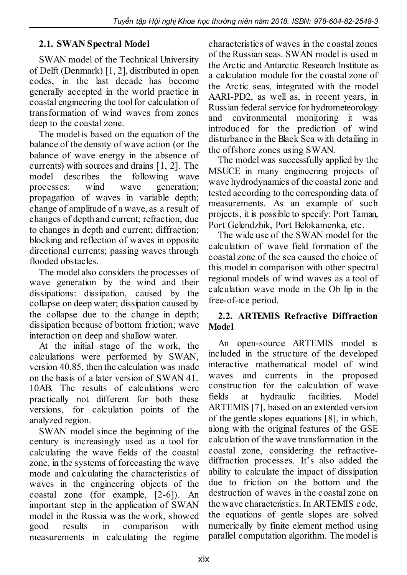## 2.1. SWAN Spectral Model

SWAN model of the Technical University of Delft (Denmark) [1, 2], distributed in open codes, in the last decade has become generally accepted in the world practice in coastal engineering the tool for calculation of transformation of wind waves from zones deep to the coastal zone.

The model is based on the equation of the balance of the density of wave action (or the balance of wave energy in the absence of currents) with sources and drains [1, 2]. The model describes the following wave processes: wind wave generation; propagation of waves in variable depth; change of amplitude of a wave, as a result of changes of depth and current; refraction, due to changes in depth and current; diffraction; blocking and reflection of waves in opposite directional currents; passing waves through flooded obstacles.

The model also considers the processes of wave generation by the wind and their dissipations: dissipation, caused by the collapse on deep water; dissipation caused by the collapse due to the change in depth; dissipation because of bottom friction; wave interaction on deep and shallow water.

At the initial stage of the work, the calculations were performed by SWAN, version 40.85, then the calculation was made on the basis of a later version of SWAN 41. 10AB. The results of calculations were practically not different for both these versions, for calculation points of the analyzed region.

SWAN model since the beginning of the century is increasingly used as a tool for calculating the wave fields of the coastal zone, in the systems of forecasting the wave mode and calculating the characteristics of waves in the engineering objects of the coastal zone (for example, [2-6]). An important step in the application of SWAN model in the Russia was the work, showed good results in comparison with measurements in calculating the regime

characteristics of waves in the coastal zones of the Russian seas. SWAN model is used in the Arctic and Antarctic Research Institute as a calculation module for the coastal zone of the Arctic seas, integrated with the model AARI-PD2, as well as, in recent years, in Russian federal service for hydrometeorology and environmental monitoring it was introduced for the prediction of wind disturbance in the Black Sea with detailing in the offshore zones using SWAN.

The model was successfully applied by the MSUCE in many engineering projects of wave hydrodynamics of the coastal zone and tested according to the corresponding data of measurements. As an example of such projects, it is possible to specify: Port Taman, Port Gelendzhik, Port Belokamenka, etc.

The wide use of the SWAN model for the calculation of wave field formation of the coastal zone of the sea caused the choice of this model in comparison with other spectral regional models of wind waves as a tool of calculation wave mode in the Ob lip in the free-of-ice period.

### 2.2. ARTEMIS Refractive Diffraction Model

An open-source ARTEMIS model is included in the structure of the developed interactive mathematical model of wind waves and currents in the proposed construction for the calculation of wave fields at hydraulic facilities. Model ARTEMIS [7], based on an extended version of the gentle slopes equations [8], in which, along with the original features of the GSE calculation of the wave transformation in the coastal zone, considering the refractivediffraction processes. It's also added the ability to calculate the impact of dissipation due to friction on the bottom and the destruction of waves in the coastal zone on the wave characteristics. In ARTEMIS code, the equations of gentle slopes are solved numerically by finite element method using parallel computation algorithm. The model is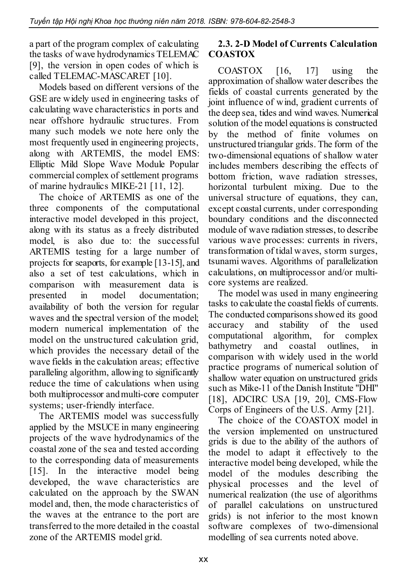a part of the program complex of calculating the tasks of wave hydrodynamics TELEMAC [9], the version in open codes of which is called TELEMAC-MASCARET [10].

Models based on different versions of the GSE are widely used in engineering tasks of calculating wave characteristics in ports and near offshore hydraulic structures. From many such models we note here only the most frequently used in engineering projects, along with ARTEMIS, the model EMS: Elliptic Mild Slope Wave Module Popular commercial complex of settlement programs of marine hydraulics MIKE-21 [11, 12].

The choice of ARTEMIS as one of the three components of the computational interactive model developed in this project, along with its status as a freely distributed model, is also due to: the successful ARTEMIS testing for a large number of projects for seaports, for example [13-15], and also a set of test calculations, which in comparison with measurement data is presented in model documentation; availability of both the version for regular waves and the spectral version of the model; modern numerical implementation of the model on the unstructured calculation grid, which provides the necessary detail of the wave fields in the calculation areas; effective paralleling algorithm, allowing to significantly reduce the time of calculations when using both multiprocessor and multi-core computer systems; user-friendly interface.

The ARTEMIS model was successfully applied by the MSUCE in many engineering projects of the wave hydrodynamics of the coastal zone of the sea and tested according to the corresponding data of measurements [15]. In the interactive model being developed, the wave characteristics are calculated on the approach by the SWAN model and, then, the mode characteristics of the waves at the entrance to the port are transferred to the more detailed in the coastal zone of the ARTEMIS model grid.

### 2.3. 2-D Model of Currents Calculation COASTOX

COASTOX [16, 17] using the approximation of shallow water describes the fields of coastal currents generated by the joint influence of wind, gradient currents of the deep sea, tides and wind waves. Numerical solution of the model equations is constructed by the method of finite volumes on unstructured triangular grids. The form of the two-dimensional equations of shallow water includes members describing the effects of bottom friction, wave radiation stresses, horizontal turbulent mixing. Due to the universal structure of equations, they can, except coastal currents, under corresponding boundary conditions and the disconnected module of wave radiation stresses, to describe various wave processes: currents in rivers, transformation of tidal waves, storm surges, tsunami waves. Algorithms of parallelization calculations, on multiprocessor and/or multicore systems are realized.

The model was used in many engineering tasks to calculate the coastal fields of currents. The conducted comparisons showed its good accuracy and stability of the used computational algorithm, for complex bathymetry and coastal outlines, in comparison with widely used in the world practice programs of numerical solution of shallow water equation on unstructured grids such as Mike-11 of the Danish Institute "DHI" [18], ADCIRC USA [19, 20], CMS-Flow Corps of Engineers of the U.S. Army [21].

The choice of the COASTOX model in the version implemented on unstructured grids is due to the ability of the authors of the model to adapt it effectively to the interactive model being developed, while the model of the modules describing the physical processes and the level of numerical realization (the use of algorithms of parallel calculations on unstructured grids) is not inferior to the most known software complexes of two-dimensional modelling of sea currents noted above.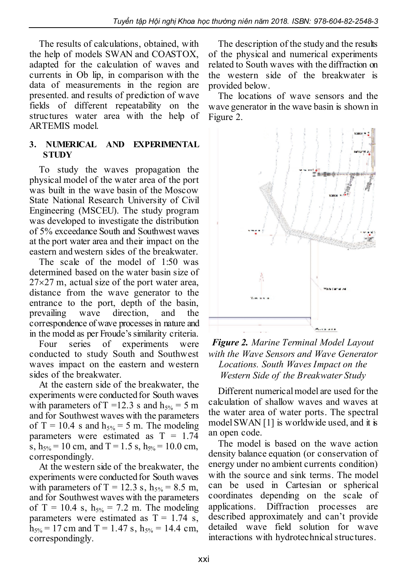The results of calculations, obtained, with the help of models SWAN and COASTOX, adapted for the calculation of waves and currents in Ob lip, in comparison with the data of measurements in the region are presented. and results of prediction of wave fields of different repeatability on the structures water area with the help of ARTEMIS model.

#### 3. NUMERICAL AND EXPERIMENTAL **STUDY**

To study the waves propagation the physical model of the water area of the port was built in the wave basin of the Moscow State National Research University of Civil Engineering (MSCEU). The study program was developed to investigate the distribution of 5% exceedance South and Southwest waves at the port water area and their impact on the eastern and western sides of the breakwater.

The scale of the model of 1:50 was determined based on the water basin size of  $27\times27$  m, actual size of the port water area, distance from the wave generator to the entrance to the port, depth of the basin, prevailing wave direction, and the correspondence of wave processes in nature and in the model as per Froude's similarity criteria.

Four series of experiments were conducted to study South and Southwest waves impact on the eastern and western sides of the breakwater.

At the eastern side of the breakwater, the experiments were conducted for South waves with parameters of T = 12.3 s and  $h_{5%}$  = 5 m and for Southwest waves with the parameters of T = 10.4 s and  $h_{5%}$  = 5 m. The modeling parameters were estimated as  $T = 1.74$ s,  $h_{5%} = 10$  cm, and T = 1.5 s,  $h_{5%} = 10.0$  cm, correspondingly.

At the western side of the breakwater, the experiments were conducted for South waves with parameters of T = 12.3 s,  $h_{5%}$  = 8.5 m, and for Southwest waves with the parameters of T = 10.4 s,  $h_{5%}$  = 7.2 m. The modeling parameters were estimated as  $T = 1.74$  s,  $h_{5%}$  = 17 cm and T = 1.47 s,  $h_{5%}$  = 14.4 cm, correspondingly.

The description of the study and the results of the physical and numerical experiments related to South waves with the diffraction on the western side of the breakwater is provided below.

The locations of wave sensors and the wave generator in the wave basin is shown in Figure 2.



*Figure 2. Marine Terminal Model Layout with the Wave Sensors and Wave Generator Locations. South Waves Impact on the Western Side of the Breakwater Study*

Different numerical model are used for the calculation of shallow waves and waves at the water area of water ports. The spectral model SWAN [1] is worldwide used, and it is an open code.

The model is based on the wave action density balance equation (or conservation of energy under no ambient currents condition) with the source and sink terms. The model can be used in Cartesian or spherical coordinates depending on the scale of applications. Diffraction processes are described approximately and can't provide detailed wave field solution for wave interactions with hydrotechnical structures.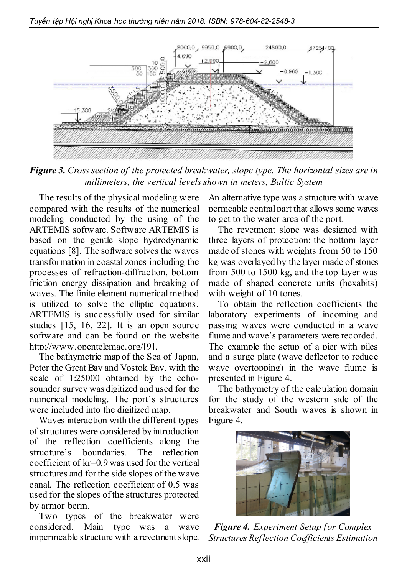

*Figure 3. Cross section of the protected breakwater, slope type. The horizontal sizes are in millimeters, the vertical levels shown in meters, Baltic System*

The results of the physical modeling were compared with the results of the numerical modeling conducted by the using of the ARTEMIS software. Software ARTEMIS is based on the gentle slope hydrodynamic equations [8]. The software solves the waves transformation in coastal zones including the processes of refraction-diffraction, bottom friction energy dissipation and breaking of waves. The finite element numerical method is utilized to solve the elliptic equations. ARTEMIS is successfully used for similar studies [15, 16, 22]. It is an open source software and can be found on the website http://www.opentelemac.org/[9].

The bathymetric map of the Sea of Japan, Peter the Great Bay and Vostok Bay, with the scale of 1:25000 obtained by the echosounder survey was digitized and used for the numerical modeling. The port's structures were included into the digitized map.

Waves interaction with the different types of structures were considered by introduction of the reflection coefficients along the structure's boundaries. The reflection coefficient of kr=0.9 was used for the vertical structures and for the side slopes of the wave canal. The reflection coefficient of 0.5 was used for the slopes of the structures protected by armor berm.

Two types of the breakwater were considered. Main type was a wave impermeable structure with a revetment slope.

An alternative type was a structure with wave permeable central part that allows some waves to get to the water area of the port.

The revetment slope was designed with three layers of protection: the bottom layer made of stones with weights from 50 to 150 kg was overlayed by the layer made of stones from 500 to 1500 kg, and the top layer was made of shaped concrete units (hexabits) with weight of 10 tones.

To obtain the reflection coefficients the laboratory experiments of incoming and passing waves were conducted in a wave flume and wave's parameters were recorded. The example the setup of a pier with piles and a surge plate (wave deflector to reduce wave overtopping) in the wave flume is presented in Figure 4.

The bathymetry of the calculation domain for the study of the western side of the breakwater and South waves is shown in Figure 4.



*Figure 4. Experiment Setup for Complex Structures Reflection Coefficients Estimation*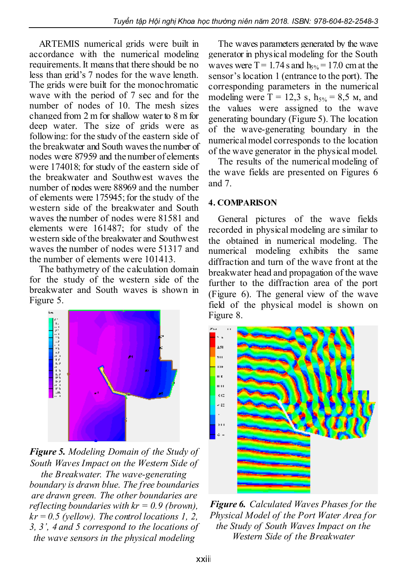ARTEMIS numerical grids were built in accordance with the numerical modeling requirements. It means that there should be no less than grid's 7 nodes for the wave length. The grids were built for the monochromatic wave with the period of 7 sec and for the number of nodes of 10. The mesh sizes changed from 2 m for shallow water to 8 m for deep water. The size of grids were as following: for the study of the eastern side of the breakwater and South waves the number of nodes were 87959 and the number of elements were 174018; for study of the eastern side of the breakwater and Southwest waves the number of nodes were 88969 and the number of elements were 175945; for the study of the western side of the breakwater and South waves the number of nodes were 81581 and elements were 161487; for study of the western side of the breakwater and Southwest waves the number of nodes were 51317 and the number of elements were 101413.

The bathymetry of the calculation domain for the study of the western side of the breakwater and South waves is shown in Figure 5.



*Figure 5. Modeling Domain of the Study of South Waves Impact on the Western Side of the Breakwater. The wave-generating boundary is drawn blue. The free boundaries are drawn green. The other boundaries are reflecting boundaries with kr = 0.9 (brown), kr = 0.5 (yellow). The control locations 1, 2, 3, 3', 4 and 5 correspond to the locations of the wave sensors in the physical modeling*

The waves parameters generated by the wave generator in physical modeling for the South waves were  $T = 1.74$  s and  $h_{5%} = 17.0$  cm at the sensor's location 1 (entrance to the port). The corresponding parameters in the numerical modeling were  $T = 12.3$  s,  $h_{5%} = 8.5$  m, and the values were assigned to the wave generating boundary (Figure 5). The location of the wave-generating boundary in the numerical model corresponds to the location of the wave generator in the physical model.

The results of the numerical modeling of the wave fields are presented on Figures 6 and 7.

### 4. COMPARISON

General pictures of the wave fields recorded in physical modeling are similar to the obtained in numerical modeling. The numerical modeling exhibits the same diffraction and turn of the wave front at the breakwater head and propagation of the wave further to the diffraction area of the port (Figure 6). The general view of the wave field of the physical model is shown on Figure 8.



*Figure 6. Calculated Waves Phases for the Physical Model of the Port Water Area for the Study of South Waves Impact on the Western Side of the Breakwater*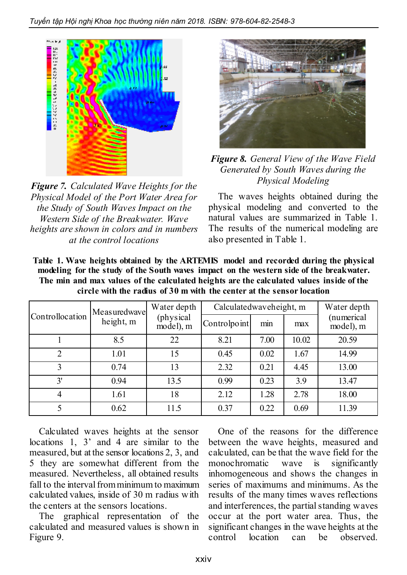

*Figure 7. Calculated Wave Heights for the Physical Model of the Port Water Area for the Study of South Waves Impact on the Western Side of the Breakwater. Wave heights are shown in colors and in numbers at the control locations*



*Figure 8. General View of the Wave Field Generated by South Waves during the Physical Modeling*

The waves heights obtained during the physical modeling and converted to the natural values are summarized in Table 1. The results of the numerical modeling are also presented in Table 1.

| Table 1. Wave heights obtained by the ARTEMIS model and recorded during the physical     |
|------------------------------------------------------------------------------------------|
| modeling for the study of the South waves impact on the western side of the breakwater.  |
| The min and max values of the calculated heights are the calculated values inside of the |
| circle with the radius of 30 m with the center at the sensor location                    |

|                 | Measuredwave | Water depth<br>(physical)<br>model), m | Calculatedwaveheight, m |      |       | Water depth             |
|-----------------|--------------|----------------------------------------|-------------------------|------|-------|-------------------------|
| Controllocation | height, m    |                                        | Controlpoint            | min  | max   | (numerical<br>model), m |
|                 | 8.5          | 22                                     | 8.21                    | 7.00 | 10.02 | 20.59                   |
| $\overline{2}$  | 1.01         | 15                                     | 0.45                    | 0.02 | 1.67  | 14.99                   |
| 3               | 0.74         | 13                                     | 2.32                    | 0.21 | 4.45  | 13.00                   |
| 3'              | 0.94         | 13.5                                   | 0.99                    | 0.23 | 3.9   | 13.47                   |
| $\overline{4}$  | 1.61         | 18                                     | 2.12                    | 1.28 | 2.78  | 18.00                   |
| 5               | 0.62         | 11.5                                   | 0.37                    | 0.22 | 0.69  | 11.39                   |

Calculated waves heights at the sensor locations 1, 3' and 4 are similar to the measured, but at the sensor locations 2, 3, and 5 they are somewhat different from the measured. Nevertheless, all obtained results fall to the interval from minimum to maximum calculated values, inside of 30 m radius with the centers at the sensors locations.

The graphical representation of the calculated and measured values is shown in Figure 9.

One of the reasons for the difference between the wave heights, measured and calculated, can be that the wave field for the monochromatic wave is significantly inhomogeneous and shows the changes in series of maximums and minimums. As the results of the many times waves reflections and interferences, the partial standing waves occur at the port water area. Thus, the significant changes in the wave heights at the control location can be observed.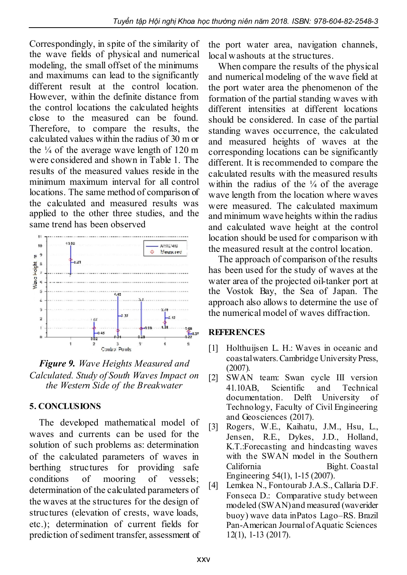Correspondingly, in spite of the similarity of the wave fields of physical and numerical modeling, the small offset of the minimums and maximums can lead to the significantly different result at the control location. However, within the definite distance from the control locations the calculated heights close to the measured can be found. Therefore, to compare the results, the calculated values within the radius of 30 m or the  $\frac{1}{4}$  of the average wave length of 120 m were considered and shown in Table 1. The results of the measured values reside in the minimum maximum interval for all control locations. The same method of comparison of the calculated and measured results was applied to the other three studies, and the same trend has been observed



*Figure 9. Wave Heights Measured and Calculated. Study of South Waves Impact on the Western Side of the Breakwater*

# 5. CONCLUSIONS

The developed mathematical model of waves and currents can be used for the solution of such problems as: determination of the calculated parameters of waves in berthing structures for providing safe conditions of mooring of vessels; determination of the calculated parameters of the waves at the structures for the design of structures (elevation of crests, wave loads, etc.); determination of current fields for prediction of sediment transfer, assessment of the port water area, navigation channels, local washouts at the structures.

When compare the results of the physical and numerical modeling of the wave field at the port water area the phenomenon of the formation of the partial standing waves with different intensities at different locations should be considered. In case of the partial standing waves occurrence, the calculated and measured heights of waves at the corresponding locations can be significantly different. It is recommended to compare the calculated results with the measured results within the radius of the  $\frac{1}{4}$  of the average wave length from the location where waves were measured. The calculated maximum and minimum wave heights within the radius and calculated wave height at the control location should be used for comparison with the measured result at the control location.

The approach of comparison of the results has been used for the study of waves at the water area of the projected oil-tanker port at the Vostok Bay, the Sea of Japan. The approach also allows to determine the use of the numerical model of waves diffraction.

### REFERENCES

- [1] Holthuijsen L. H.: Waves in oceanic and coastal waters. Cambridge University Press, (2007).
- [2] SWAN team: Swan cycle III version 41.10AB, Scientific and Technical documentation. Delft University of Technology, Faculty of Civil Engineering and Geosciences (2017).
- [3] Rogers, W.E., Kaihatu, J.M., Hsu, L., Jensen, R.E., Dykes, J.D., Holland, K.T.:Forecasting and hindcasting waves with the SWAN model in the Southern California Bight. Coastal Engineering 54(1), 1-15 (2007).
- [4] Lemkea N., Fontourab J.A.S., Callaria D.F. Fonseca D.: Comparative study between modeled (SWAN) and measured (waverider buoy) wave data inPatos Lago–RS. Brazil Pan-American Journal of Aquatic Sciences 12(1), 1-13 (2017).